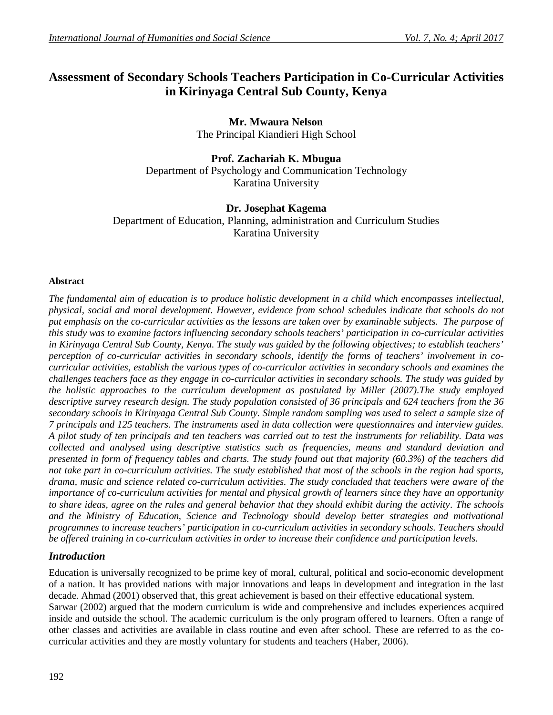# **Assessment of Secondary Schools Teachers Participation in Co-Curricular Activities in Kirinyaga Central Sub County, Kenya**

**Mr. Mwaura Nelson** The Principal Kiandieri High School

**Prof. Zachariah K. Mbugua** Department of Psychology and Communication Technology Karatina University

**Dr. Josephat Kagema** Department of Education, Planning, administration and Curriculum Studies Karatina University

### **Abstract**

*The fundamental aim of education is to produce holistic development in a child which encompasses intellectual, physical, social and moral development. However, evidence from school schedules indicate that schools do not put emphasis on the co-curricular activities as the lessons are taken over by examinable subjects. The purpose of this study was to examine factors influencing secondary schools teachers' participation in co-curricular activities in Kirinyaga Central Sub County, Kenya. The study was guided by the following objectives; to establish teachers' perception of co-curricular activities in secondary schools, identify the forms of teachers' involvement in cocurricular activities, establish the various types of co-curricular activities in secondary schools and examines the challenges teachers face as they engage in co-curricular activities in secondary schools. The study was guided by the holistic approaches to the curriculum development as postulated by Miller (2007).The study employed descriptive survey research design. The study population consisted of 36 principals and 624 teachers from the 36 secondary schools in Kirinyaga Central Sub County. Simple random sampling was used to select a sample size of 7 principals and 125 teachers. The instruments used in data collection were questionnaires and interview guides. A pilot study of ten principals and ten teachers was carried out to test the instruments for reliability. Data was collected and analysed using descriptive statistics such as frequencies, means and standard deviation and presented in form of frequency tables and charts. The study found out that majority (60.3%) of the teachers did not take part in co-curriculum activities. The study established that most of the schools in the region had sports, drama, music and science related co-curriculum activities. The study concluded that teachers were aware of the importance of co-curriculum activities for mental and physical growth of learners since they have an opportunity to share ideas, agree on the rules and general behavior that they should exhibit during the activity. The schools and the Ministry of Education, Science and Technology should develop better strategies and motivational programmes to increase teachers' participation in co-curriculum activities in secondary schools. Teachers should be offered training in co-curriculum activities in order to increase their confidence and participation levels.*

### *Introduction*

Education is universally recognized to be prime key of moral, cultural, political and socio-economic development of a nation. It has provided nations with major innovations and leaps in development and integration in the last decade. Ahmad (2001) observed that, this great achievement is based on their effective educational system. Sarwar (2002) argued that the modern curriculum is wide and comprehensive and includes experiences acquired inside and outside the school. The academic curriculum is the only program offered to learners. Often a range of other classes and activities are available in class routine and even after school. These are referred to as the cocurricular activities and they are mostly voluntary for students and teachers (Haber, 2006).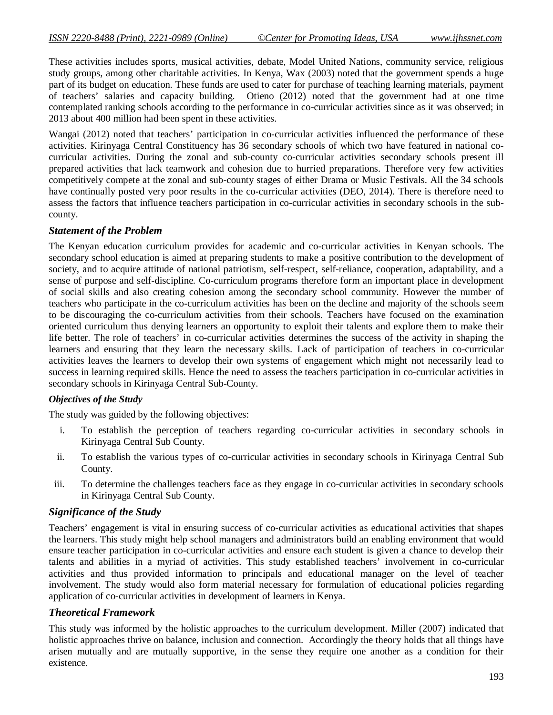These activities includes sports, musical activities, debate, Model United Nations, community service, religious study groups, among other charitable activities. In Kenya, Wax (2003) noted that the government spends a huge part of its budget on education. These funds are used to cater for purchase of teaching learning materials, payment of teachers' salaries and capacity building. Otieno (2012) noted that the government had at one time contemplated ranking schools according to the performance in co-curricular activities since as it was observed; in 2013 about 400 million had been spent in these activities.

Wangai (2012) noted that teachers' participation in co-curricular activities influenced the performance of these activities. Kirinyaga Central Constituency has 36 secondary schools of which two have featured in national cocurricular activities. During the zonal and sub-county co-curricular activities secondary schools present ill prepared activities that lack teamwork and cohesion due to hurried preparations. Therefore very few activities competitively compete at the zonal and sub-county stages of either Drama or Music Festivals. All the 34 schools have continually posted very poor results in the co-curricular activities (DEO, 2014). There is therefore need to assess the factors that influence teachers participation in co-curricular activities in secondary schools in the subcounty.

### *Statement of the Problem*

The Kenyan education curriculum provides for academic and co-curricular activities in Kenyan schools. The secondary school education is aimed at preparing students to make a positive contribution to the development of society, and to acquire attitude of national patriotism, self-respect, self-reliance, cooperation, adaptability, and a sense of purpose and self-discipline. Co-curriculum programs therefore form an important place in development of social skills and also creating cohesion among the secondary school community. However the number of teachers who participate in the co-curriculum activities has been on the decline and majority of the schools seem to be discouraging the co-curriculum activities from their schools. Teachers have focused on the examination oriented curriculum thus denying learners an opportunity to exploit their talents and explore them to make their life better. The role of teachers' in co-curricular activities determines the success of the activity in shaping the learners and ensuring that they learn the necessary skills. Lack of participation of teachers in co-curricular activities leaves the learners to develop their own systems of engagement which might not necessarily lead to success in learning required skills. Hence the need to assess the teachers participation in co-curricular activities in secondary schools in Kirinyaga Central Sub-County.

### *Objectives of the Study*

The study was guided by the following objectives:

- i. To establish the perception of teachers regarding co-curricular activities in secondary schools in Kirinyaga Central Sub County.
- ii. To establish the various types of co-curricular activities in secondary schools in Kirinyaga Central Sub County.
- iii. To determine the challenges teachers face as they engage in co-curricular activities in secondary schools in Kirinyaga Central Sub County.

#### *Significance of the Study*

Teachers' engagement is vital in ensuring success of co-curricular activities as educational activities that shapes the learners. This study might help school managers and administrators build an enabling environment that would ensure teacher participation in co-curricular activities and ensure each student is given a chance to develop their talents and abilities in a myriad of activities. This study established teachers' involvement in co-curricular activities and thus provided information to principals and educational manager on the level of teacher involvement. The study would also form material necessary for formulation of educational policies regarding application of co-curricular activities in development of learners in Kenya.

### *Theoretical Framework*

This study was informed by the holistic approaches to the curriculum development. Miller (2007) indicated that holistic approaches thrive on balance, inclusion and connection. Accordingly the theory holds that all things have arisen mutually and are mutually supportive, in the sense they require one another as a condition for their existence.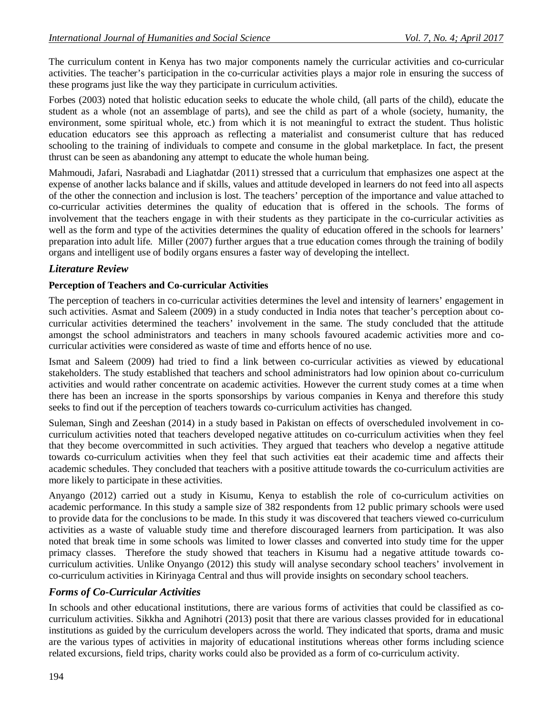The curriculum content in Kenya has two major components namely the curricular activities and co-curricular activities. The teacher's participation in the co-curricular activities plays a major role in ensuring the success of these programs just like the way they participate in curriculum activities.

Forbes (2003) noted that holistic education seeks to educate the whole child, (all parts of the child), educate the student as a whole (not an assemblage of parts), and see the child as part of a whole (society, humanity, the environment, some spiritual whole, etc.) from which it is not meaningful to extract the student. Thus holistic education educators see this approach as reflecting a materialist and consumerist culture that has reduced schooling to the training of individuals to compete and consume in the global marketplace. In fact, the present thrust can be seen as abandoning any attempt to educate the whole human being.

Mahmoudi, Jafari, Nasrabadi and Liaghatdar (2011) stressed that a curriculum that emphasizes one aspect at the expense of another lacks balance and if skills, values and attitude developed in learners do not feed into all aspects of the other the connection and inclusion is lost. The teachers' perception of the importance and value attached to co-curricular activities determines the quality of education that is offered in the schools. The forms of involvement that the teachers engage in with their students as they participate in the co-curricular activities as well as the form and type of the activities determines the quality of education offered in the schools for learners' preparation into adult life. Miller (2007) further argues that a true education comes through the training of bodily organs and intelligent use of bodily organs ensures a faster way of developing the intellect.

### *Literature Review*

### **Perception of Teachers and Co-curricular Activities**

The perception of teachers in co-curricular activities determines the level and intensity of learners' engagement in such activities. Asmat and Saleem (2009) in a study conducted in India notes that teacher's perception about cocurricular activities determined the teachers' involvement in the same. The study concluded that the attitude amongst the school administrators and teachers in many schools favoured academic activities more and cocurricular activities were considered as waste of time and efforts hence of no use.

Ismat and Saleem (2009) had tried to find a link between co-curricular activities as viewed by educational stakeholders. The study established that teachers and school administrators had low opinion about co-curriculum activities and would rather concentrate on academic activities. However the current study comes at a time when there has been an increase in the sports sponsorships by various companies in Kenya and therefore this study seeks to find out if the perception of teachers towards co-curriculum activities has changed.

Suleman, Singh and Zeeshan (2014) in a study based in Pakistan on effects of overscheduled involvement in cocurriculum activities noted that teachers developed negative attitudes on co-curriculum activities when they feel that they become overcommitted in such activities. They argued that teachers who develop a negative attitude towards co-curriculum activities when they feel that such activities eat their academic time and affects their academic schedules. They concluded that teachers with a positive attitude towards the co-curriculum activities are more likely to participate in these activities.

Anyango (2012) carried out a study in Kisumu, Kenya to establish the role of co-curriculum activities on academic performance. In this study a sample size of 382 respondents from 12 public primary schools were used to provide data for the conclusions to be made. In this study it was discovered that teachers viewed co-curriculum activities as a waste of valuable study time and therefore discouraged learners from participation. It was also noted that break time in some schools was limited to lower classes and converted into study time for the upper primacy classes. Therefore the study showed that teachers in Kisumu had a negative attitude towards cocurriculum activities. Unlike Onyango (2012) this study will analyse secondary school teachers' involvement in co-curriculum activities in Kirinyaga Central and thus will provide insights on secondary school teachers.

### *Forms of Co-Curricular Activities*

In schools and other educational institutions, there are various forms of activities that could be classified as cocurriculum activities. Sikkha and Agnihotri (2013) posit that there are various classes provided for in educational institutions as guided by the curriculum developers across the world. They indicated that sports, drama and music are the various types of activities in majority of educational institutions whereas other forms including science related excursions, field trips, charity works could also be provided as a form of co-curriculum activity.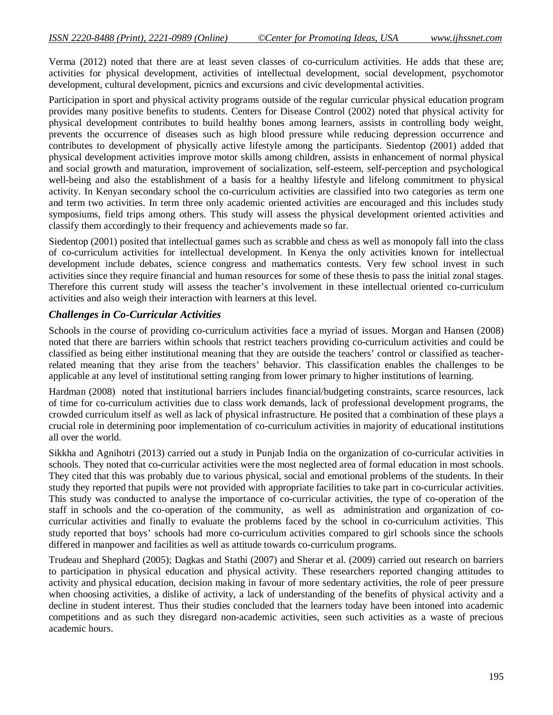Verma (2012) noted that there are at least seven classes of co-curriculum activities. He adds that these are; activities for physical development, activities of intellectual development, social development, psychomotor development, cultural development, picnics and excursions and civic developmental activities.

Participation in sport and physical activity programs outside of the regular curricular physical education program provides many positive benefits to students. Centers for Disease Control (2002) noted that physical activity for physical development contributes to build healthy bones among learners, assists in controlling body weight, prevents the occurrence of diseases such as high blood pressure while reducing depression occurrence and contributes to development of physically active lifestyle among the participants. Siedentop (2001) added that physical development activities improve motor skills among children, assists in enhancement of normal physical and social growth and maturation, improvement of socialization, self-esteem, self-perception and psychological well-being and also the establishment of a basis for a healthy lifestyle and lifelong commitment to physical activity. In Kenyan secondary school the co-curriculum activities are classified into two categories as term one and term two activities. In term three only academic oriented activities are encouraged and this includes study symposiums, field trips among others. This study will assess the physical development oriented activities and classify them accordingly to their frequency and achievements made so far.

Siedentop (2001) posited that intellectual games such as scrabble and chess as well as monopoly fall into the class of co-curriculum activities for intellectual development. In Kenya the only activities known for intellectual development include debates, science congress and mathematics contests. Very few school invest in such activities since they require financial and human resources for some of these thesis to pass the initial zonal stages. Therefore this current study will assess the teacher's involvement in these intellectual oriented co-curriculum activities and also weigh their interaction with learners at this level.

#### *Challenges in Co-Curricular Activities*

Schools in the course of providing co-curriculum activities face a myriad of issues. Morgan and Hansen (2008) noted that there are barriers within schools that restrict teachers providing co-curriculum activities and could be classified as being either institutional meaning that they are outside the teachers' control or classified as teacherrelated meaning that they arise from the teachers' behavior. This classification enables the challenges to be applicable at any level of institutional setting ranging from lower primary to higher institutions of learning.

Hardman (2008) noted that institutional barriers includes financial/budgeting constraints, scarce resources, lack of time for co-curriculum activities due to class work demands, lack of professional development programs, the crowded curriculum itself as well as lack of physical infrastructure. He posited that a combination of these plays a crucial role in determining poor implementation of co-curriculum activities in majority of educational institutions all over the world.

Sikkha and Agnihotri (2013) carried out a study in Punjab India on the organization of co-curricular activities in schools. They noted that co-curricular activities were the most neglected area of formal education in most schools. They cited that this was probably due to various physical, social and emotional problems of the students. In their study they reported that pupils were not provided with appropriate facilities to take part in co-curricular activities. This study was conducted to analyse the importance of co-curricular activities, the type of co-operation of the staff in schools and the co-operation of the community, as well as administration and organization of cocurricular activities and finally to evaluate the problems faced by the school in co-curriculum activities. This study reported that boys' schools had more co-curriculum activities compared to girl schools since the schools differed in manpower and facilities as well as attitude towards co-curriculum programs.

Trudeau and Shephard (2005); Dagkas and Stathi (2007) and Sherar et al. (2009) carried out research on barriers to participation in physical education and physical activity. These researchers reported changing attitudes to activity and physical education, decision making in favour of more sedentary activities, the role of peer pressure when choosing activities, a dislike of activity, a lack of understanding of the benefits of physical activity and a decline in student interest. Thus their studies concluded that the learners today have been intoned into academic competitions and as such they disregard non-academic activities, seen such activities as a waste of precious academic hours.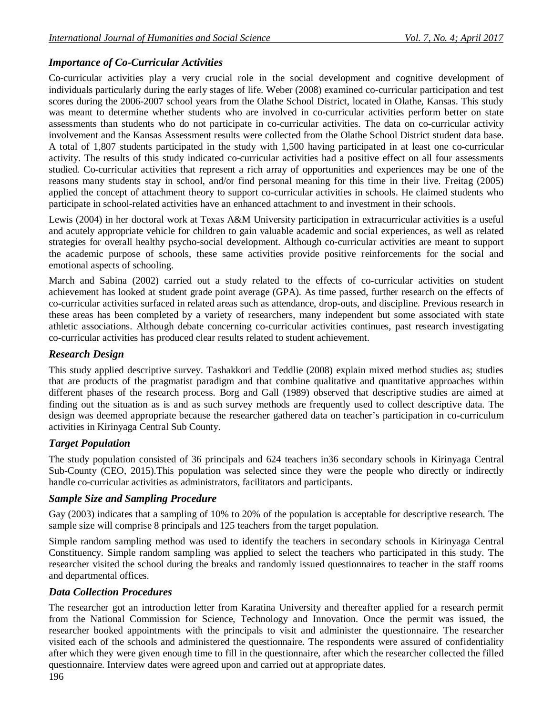# *Importance of Co-Curricular Activities*

Co-curricular activities play a very crucial role in the social development and cognitive development of individuals particularly during the early stages of life. Weber (2008) examined co-curricular participation and test scores during the 2006-2007 school years from the Olathe School District, located in Olathe, Kansas. This study was meant to determine whether students who are involved in co-curricular activities perform better on state assessments than students who do not participate in co-curricular activities. The data on co-curricular activity involvement and the Kansas Assessment results were collected from the Olathe School District student data base. A total of 1,807 students participated in the study with 1,500 having participated in at least one co-curricular activity. The results of this study indicated co-curricular activities had a positive effect on all four assessments studied. Co-curricular activities that represent a rich array of opportunities and experiences may be one of the reasons many students stay in school, and/or find personal meaning for this time in their live. Freitag (2005) applied the concept of attachment theory to support co-curricular activities in schools. He claimed students who participate in school-related activities have an enhanced attachment to and investment in their schools.

Lewis (2004) in her doctoral work at Texas A&M University participation in extracurricular activities is a useful and acutely appropriate vehicle for children to gain valuable academic and social experiences, as well as related strategies for overall healthy psycho-social development. Although co-curricular activities are meant to support the academic purpose of schools, these same activities provide positive reinforcements for the social and emotional aspects of schooling.

March and Sabina (2002) carried out a study related to the effects of co-curricular activities on student achievement has looked at student grade point average (GPA). As time passed, further research on the effects of co-curricular activities surfaced in related areas such as attendance, drop-outs, and discipline. Previous research in these areas has been completed by a variety of researchers, many independent but some associated with state athletic associations. Although debate concerning co-curricular activities continues, past research investigating co-curricular activities has produced clear results related to student achievement.

## *Research Design*

This study applied descriptive survey. Tashakkori and Teddlie (2008) explain mixed method studies as; studies that are products of the pragmatist paradigm and that combine qualitative and quantitative approaches within different phases of the research process. Borg and Gall (1989) observed that descriptive studies are aimed at finding out the situation as is and as such survey methods are frequently used to collect descriptive data. The design was deemed appropriate because the researcher gathered data on teacher's participation in co-curriculum activities in Kirinyaga Central Sub County.

### *Target Population*

The study population consisted of 36 principals and 624 teachers in36 secondary schools in Kirinyaga Central Sub-County (CEO, 2015).This population was selected since they were the people who directly or indirectly handle co-curricular activities as administrators, facilitators and participants.

### *Sample Size and Sampling Procedure*

Gay (2003) indicates that a sampling of 10% to 20% of the population is acceptable for descriptive research. The sample size will comprise 8 principals and 125 teachers from the target population.

Simple random sampling method was used to identify the teachers in secondary schools in Kirinyaga Central Constituency. Simple random sampling was applied to select the teachers who participated in this study. The researcher visited the school during the breaks and randomly issued questionnaires to teacher in the staff rooms and departmental offices.

### *Data Collection Procedures*

The researcher got an introduction letter from Karatina University and thereafter applied for a research permit from the National Commission for Science, Technology and Innovation. Once the permit was issued, the researcher booked appointments with the principals to visit and administer the questionnaire. The researcher visited each of the schools and administered the questionnaire. The respondents were assured of confidentiality after which they were given enough time to fill in the questionnaire, after which the researcher collected the filled questionnaire. Interview dates were agreed upon and carried out at appropriate dates.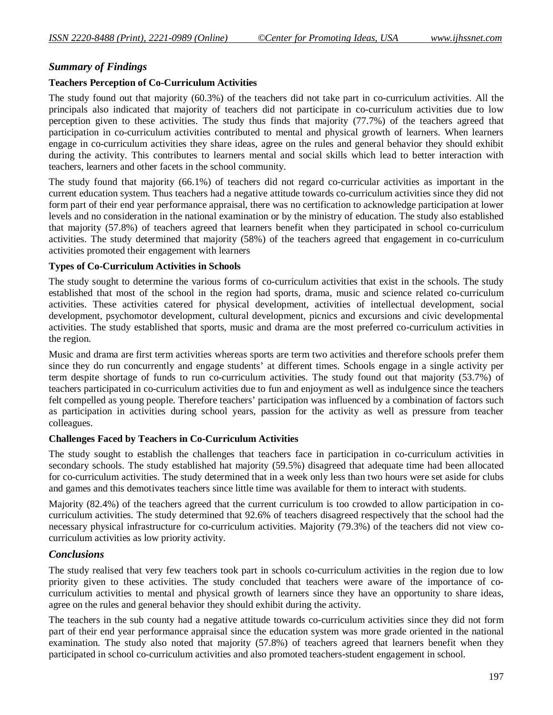#### *Summary of Findings*

### **Teachers Perception of Co-Curriculum Activities**

The study found out that majority (60.3%) of the teachers did not take part in co-curriculum activities. All the principals also indicated that majority of teachers did not participate in co-curriculum activities due to low perception given to these activities. The study thus finds that majority (77.7%) of the teachers agreed that participation in co-curriculum activities contributed to mental and physical growth of learners. When learners engage in co-curriculum activities they share ideas, agree on the rules and general behavior they should exhibit during the activity. This contributes to learners mental and social skills which lead to better interaction with teachers, learners and other facets in the school community.

The study found that majority (66.1%) of teachers did not regard co-curricular activities as important in the current education system. Thus teachers had a negative attitude towards co-curriculum activities since they did not form part of their end year performance appraisal, there was no certification to acknowledge participation at lower levels and no consideration in the national examination or by the ministry of education. The study also established that majority (57.8%) of teachers agreed that learners benefit when they participated in school co-curriculum activities. The study determined that majority (58%) of the teachers agreed that engagement in co-curriculum activities promoted their engagement with learners

### **Types of Co-Curriculum Activities in Schools**

The study sought to determine the various forms of co-curriculum activities that exist in the schools. The study established that most of the school in the region had sports, drama, music and science related co-curriculum activities. These activities catered for physical development, activities of intellectual development, social development, psychomotor development, cultural development, picnics and excursions and civic developmental activities. The study established that sports, music and drama are the most preferred co-curriculum activities in the region.

Music and drama are first term activities whereas sports are term two activities and therefore schools prefer them since they do run concurrently and engage students' at different times. Schools engage in a single activity per term despite shortage of funds to run co-curriculum activities. The study found out that majority (53.7%) of teachers participated in co-curriculum activities due to fun and enjoyment as well as indulgence since the teachers felt compelled as young people. Therefore teachers' participation was influenced by a combination of factors such as participation in activities during school years, passion for the activity as well as pressure from teacher colleagues.

### **Challenges Faced by Teachers in Co-Curriculum Activities**

The study sought to establish the challenges that teachers face in participation in co-curriculum activities in secondary schools. The study established hat majority (59.5%) disagreed that adequate time had been allocated for co-curriculum activities. The study determined that in a week only less than two hours were set aside for clubs and games and this demotivates teachers since little time was available for them to interact with students.

Majority (82.4%) of the teachers agreed that the current curriculum is too crowded to allow participation in cocurriculum activities. The study determined that 92.6% of teachers disagreed respectively that the school had the necessary physical infrastructure for co-curriculum activities. Majority (79.3%) of the teachers did not view cocurriculum activities as low priority activity.

# *Conclusions*

The study realised that very few teachers took part in schools co-curriculum activities in the region due to low priority given to these activities. The study concluded that teachers were aware of the importance of cocurriculum activities to mental and physical growth of learners since they have an opportunity to share ideas, agree on the rules and general behavior they should exhibit during the activity.

The teachers in the sub county had a negative attitude towards co-curriculum activities since they did not form part of their end year performance appraisal since the education system was more grade oriented in the national examination. The study also noted that majority (57.8%) of teachers agreed that learners benefit when they participated in school co-curriculum activities and also promoted teachers-student engagement in school.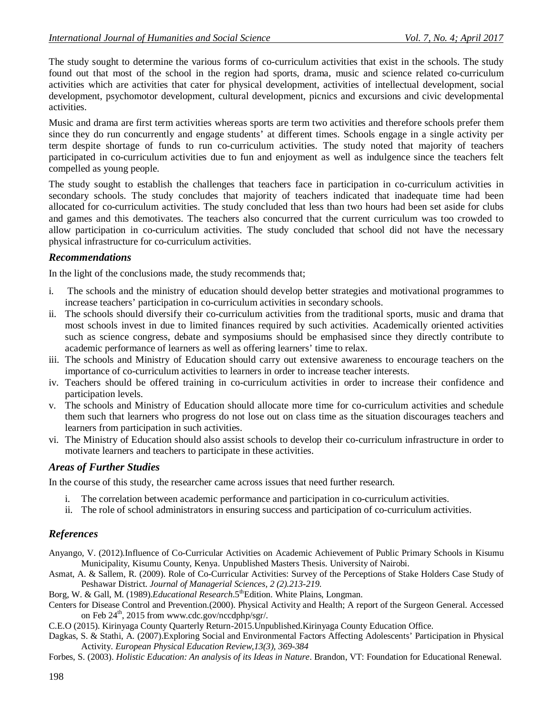The study sought to determine the various forms of co-curriculum activities that exist in the schools. The study found out that most of the school in the region had sports, drama, music and science related co-curriculum activities which are activities that cater for physical development, activities of intellectual development, social development, psychomotor development, cultural development, picnics and excursions and civic developmental activities.

Music and drama are first term activities whereas sports are term two activities and therefore schools prefer them since they do run concurrently and engage students' at different times. Schools engage in a single activity per term despite shortage of funds to run co-curriculum activities. The study noted that majority of teachers participated in co-curriculum activities due to fun and enjoyment as well as indulgence since the teachers felt compelled as young people.

The study sought to establish the challenges that teachers face in participation in co-curriculum activities in secondary schools. The study concludes that majority of teachers indicated that inadequate time had been allocated for co-curriculum activities. The study concluded that less than two hours had been set aside for clubs and games and this demotivates. The teachers also concurred that the current curriculum was too crowded to allow participation in co-curriculum activities. The study concluded that school did not have the necessary physical infrastructure for co-curriculum activities.

### *Recommendations*

In the light of the conclusions made, the study recommends that;

- i. The schools and the ministry of education should develop better strategies and motivational programmes to increase teachers' participation in co-curriculum activities in secondary schools.
- ii. The schools should diversify their co-curriculum activities from the traditional sports, music and drama that most schools invest in due to limited finances required by such activities. Academically oriented activities such as science congress, debate and symposiums should be emphasised since they directly contribute to academic performance of learners as well as offering learners' time to relax.
- iii. The schools and Ministry of Education should carry out extensive awareness to encourage teachers on the importance of co-curriculum activities to learners in order to increase teacher interests.
- iv. Teachers should be offered training in co-curriculum activities in order to increase their confidence and participation levels.
- v. The schools and Ministry of Education should allocate more time for co-curriculum activities and schedule them such that learners who progress do not lose out on class time as the situation discourages teachers and learners from participation in such activities.
- vi. The Ministry of Education should also assist schools to develop their co-curriculum infrastructure in order to motivate learners and teachers to participate in these activities.

### *Areas of Further Studies*

In the course of this study, the researcher came across issues that need further research.

- i. The correlation between academic performance and participation in co-curriculum activities.
- ii. The role of school administrators in ensuring success and participation of co-curriculum activities.

### *References*

Anyango, V. (2012).Influence of Co-Curricular Activities on Academic Achievement of Public Primary Schools in Kisumu Municipality, Kisumu County, Kenya. Unpublished Masters Thesis. University of Nairobi.

- Asmat, A. & Sallem, R. (2009). Role of Co-Curricular Activities: Survey of the Perceptions of Stake Holders Case Study of Peshawar District. *Journal of Managerial Sciences, 2 (2).213-219.*
- Borg, W. & Gall, M. (1989).*Educational Research*.5<sup>th</sup>Edition. White Plains, Longman.
- Centers for Disease Control and Prevention.(2000). Physical Activity and Health; A report of the Surgeon General. Accessed on Feb  $24<sup>th</sup>$ , 2015 from www.cdc.gov/nccdphp/sgr/.
- C.E.O (2015). Kirinyaga County Quarterly Return-2015.Unpublished.Kirinyaga County Education Office.
- Dagkas, S. & Stathi, A. (2007).Exploring Social and Environmental Factors Affecting Adolescents' Participation in Physical Activity. *European Physical Education Review,13(3), 369-384*
- Forbes, S. (2003). *Holistic Education: An analysis of its Ideas in Nature*. Brandon, VT: Foundation for Educational Renewal.